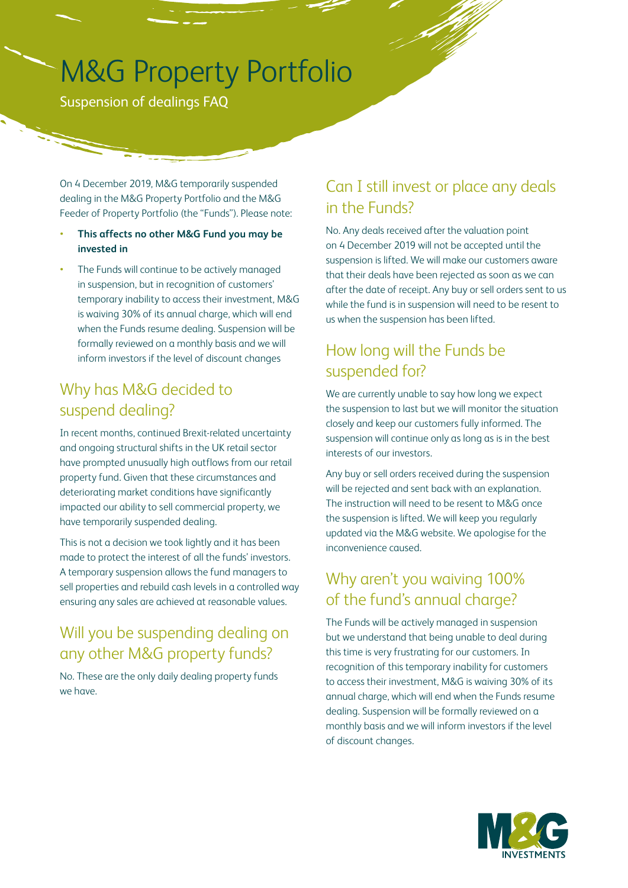# M&G Property Portfolio

Suspension of dealings FAQ

On 4 December 2019, M&G temporarily suspended dealing in the M&G Property Portfolio and the M&G Feeder of Property Portfolio (the "Funds"). Please note:

#### • **This affects no other M&G Fund you may be invested in**

• The Funds will continue to be actively managed in suspension, but in recognition of customers' temporary inability to access their investment, M&G is waiving 30% of its annual charge, which will end when the Funds resume dealing. Suspension will be formally reviewed on a monthly basis and we will inform investors if the level of discount changes

### Why has M&G decided to suspend dealing?

In recent months, continued Brexit-related uncertainty and ongoing structural shifts in the UK retail sector have prompted unusually high outflows from our retail property fund. Given that these circumstances and deteriorating market conditions have significantly impacted our ability to sell commercial property, we have temporarily suspended dealing.

This is not a decision we took lightly and it has been made to protect the interest of all the funds' investors. A temporary suspension allows the fund managers to sell properties and rebuild cash levels in a controlled way ensuring any sales are achieved at reasonable values.

# Will you be suspending dealing on any other M&G property funds?

No. These are the only daily dealing property funds we have.

# Can I still invest or place any deals in the Funds?

No. Any deals received after the valuation point on 4 December 2019 will not be accepted until the suspension is lifted. We will make our customers aware that their deals have been rejected as soon as we can after the date of receipt. Any buy or sell orders sent to us while the fund is in suspension will need to be resent to us when the suspension has been lifted.

# How long will the Funds be suspended for?

We are currently unable to say how long we expect the suspension to last but we will monitor the situation closely and keep our customers fully informed. The suspension will continue only as long as is in the best interests of our investors.

Any buy or sell orders received during the suspension will be rejected and sent back with an explanation. The instruction will need to be resent to M&G once the suspension is lifted. We will keep you regularly updated via the M&G website. We apologise for the inconvenience caused.

# Why aren't you waiving 100% of the fund's annual charge?

The Funds will be actively managed in suspension but we understand that being unable to deal during this time is very frustrating for our customers. In recognition of this temporary inability for customers to access their investment, M&G is waiving 30% of its annual charge, which will end when the Funds resume dealing. Suspension will be formally reviewed on a monthly basis and we will inform investors if the level of discount changes.

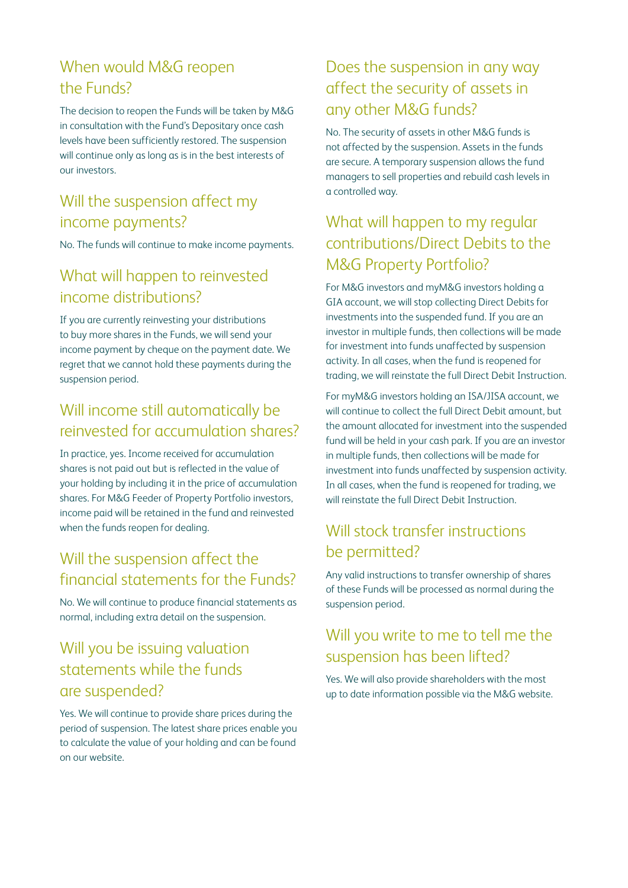# When would M&G reopen the Funds?

The decision to reopen the Funds will be taken by M&G in consultation with the Fund's Depositary once cash levels have been sufficiently restored. The suspension will continue only as long as is in the best interests of our investors.

# Will the suspension affect my income payments?

No. The funds will continue to make income payments.

# What will happen to reinvested income distributions?

If you are currently reinvesting your distributions to buy more shares in the Funds, we will send your income payment by cheque on the payment date. We regret that we cannot hold these payments during the suspension period.

# Will income still automatically be reinvested for accumulation shares?

In practice, yes. Income received for accumulation shares is not paid out but is reflected in the value of your holding by including it in the price of accumulation shares. For M&G Feeder of Property Portfolio investors, income paid will be retained in the fund and reinvested when the funds reopen for dealing.

# Will the suspension affect the financial statements for the Funds?

No. We will continue to produce financial statements as normal, including extra detail on the suspension.

# Will you be issuing valuation statements while the funds are suspended?

Yes. We will continue to provide share prices during the period of suspension. The latest share prices enable you to calculate the value of your holding and can be found on our website.

#### Does the suspension in any way affect the security of assets in any other M&G funds?

No. The security of assets in other M&G funds is not affected by the suspension. Assets in the funds are secure. A temporary suspension allows the fund managers to sell properties and rebuild cash levels in a controlled way.

# What will happen to my regular contributions/Direct Debits to the M&G Property Portfolio?

For M&G investors and myM&G investors holding a GIA account, we will stop collecting Direct Debits for investments into the suspended fund. If you are an investor in multiple funds, then collections will be made for investment into funds unaffected by suspension activity. In all cases, when the fund is reopened for trading, we will reinstate the full Direct Debit Instruction.

For myM&G investors holding an ISA/JISA account, we will continue to collect the full Direct Debit amount, but the amount allocated for investment into the suspended fund will be held in your cash park. If you are an investor in multiple funds, then collections will be made for investment into funds unaffected by suspension activity. In all cases, when the fund is reopened for trading, we will reinstate the full Direct Debit Instruction.

# Will stock transfer instructions be permitted?

Any valid instructions to transfer ownership of shares of these Funds will be processed as normal during the suspension period.

# Will you write to me to tell me the suspension has been lifted?

Yes. We will also provide shareholders with the most up to date information possible via the M&G website.